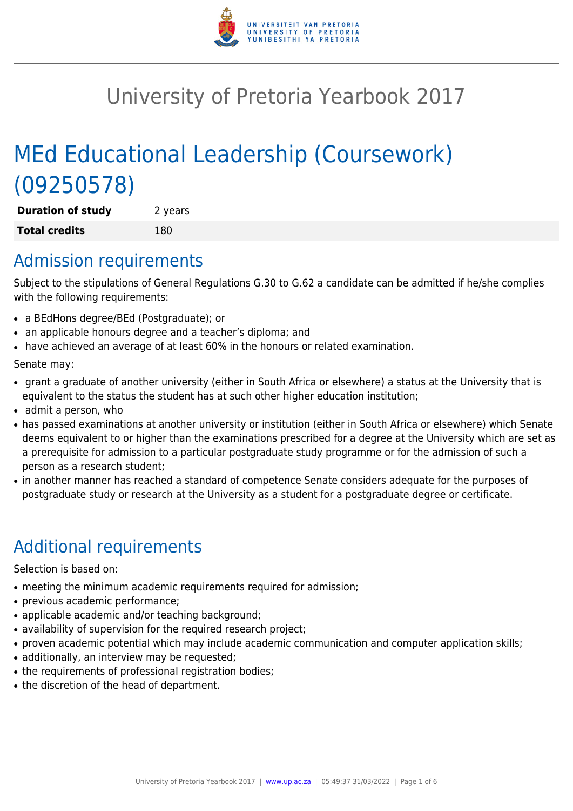

# University of Pretoria Yearbook 2017

# MEd Educational Leadership (Coursework) (09250578)

**Duration of study** 2 years **Total credits** 180

### Admission requirements

Subject to the stipulations of General Regulations G.30 to G.62 a candidate can be admitted if he/she complies with the following requirements:

- a BEdHons degree/BEd (Postgraduate); or
- an applicable honours degree and a teacher's diploma; and
- have achieved an average of at least 60% in the honours or related examination.

Senate may:

- grant a graduate of another university (either in South Africa or elsewhere) a status at the University that is equivalent to the status the student has at such other higher education institution;
- admit a person, who
- has passed examinations at another university or institution (either in South Africa or elsewhere) which Senate deems equivalent to or higher than the examinations prescribed for a degree at the University which are set as a prerequisite for admission to a particular postgraduate study programme or for the admission of such a person as a research student;
- in another manner has reached a standard of competence Senate considers adequate for the purposes of postgraduate study or research at the University as a student for a postgraduate degree or certificate.

# Additional requirements

Selection is based on:

- meeting the minimum academic requirements required for admission;
- previous academic performance;
- applicable academic and/or teaching background;
- availability of supervision for the required research project;
- proven academic potential which may include academic communication and computer application skills;
- additionally, an interview may be requested;
- the requirements of professional registration bodies;
- the discretion of the head of department.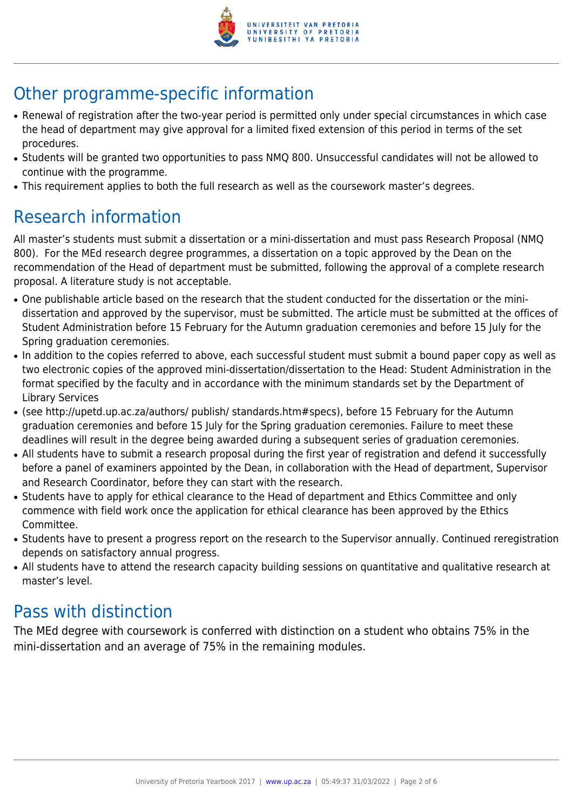

# Other programme-specific information

- Renewal of registration after the two-year period is permitted only under special circumstances in which case the head of department may give approval for a limited fixed extension of this period in terms of the set procedures.
- Students will be granted two opportunities to pass NMQ 800. Unsuccessful candidates will not be allowed to continue with the programme.
- This requirement applies to both the full research as well as the coursework master's degrees.

## Research information

All master's students must submit a dissertation or a mini-dissertation and must pass Research Proposal (NMQ 800). For the MEd research degree programmes, a dissertation on a topic approved by the Dean on the recommendation of the Head of department must be submitted, following the approval of a complete research proposal. A literature study is not acceptable.

- One publishable article based on the research that the student conducted for the dissertation or the minidissertation and approved by the supervisor, must be submitted. The article must be submitted at the offices of Student Administration before 15 February for the Autumn graduation ceremonies and before 15 July for the Spring graduation ceremonies.
- In addition to the copies referred to above, each successful student must submit a bound paper copy as well as two electronic copies of the approved mini-dissertation/dissertation to the Head: Student Administration in the format specified by the faculty and in accordance with the minimum standards set by the Department of Library Services
- (see http://upetd.up.ac.za/authors/ publish/ standards.htm#specs), before 15 February for the Autumn graduation ceremonies and before 15 July for the Spring graduation ceremonies. Failure to meet these deadlines will result in the degree being awarded during a subsequent series of graduation ceremonies.
- All students have to submit a research proposal during the first year of registration and defend it successfully before a panel of examiners appointed by the Dean, in collaboration with the Head of department, Supervisor and Research Coordinator, before they can start with the research.
- Students have to apply for ethical clearance to the Head of department and Ethics Committee and only commence with field work once the application for ethical clearance has been approved by the Ethics Committee.
- Students have to present a progress report on the research to the Supervisor annually. Continued reregistration depends on satisfactory annual progress.
- All students have to attend the research capacity building sessions on quantitative and qualitative research at master's level.

## Pass with distinction

The MEd degree with coursework is conferred with distinction on a student who obtains 75% in the mini-dissertation and an average of 75% in the remaining modules.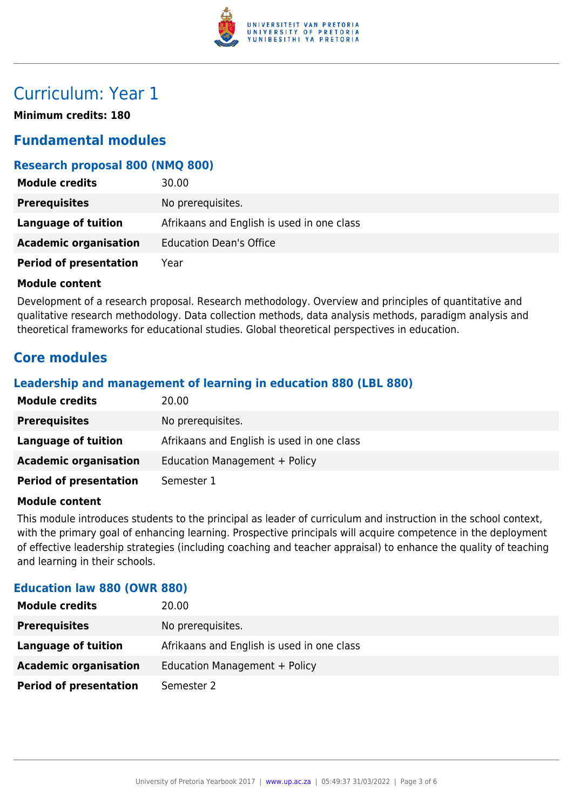

## Curriculum: Year 1

**Minimum credits: 180**

### **Fundamental modules**

#### **Research proposal 800 (NMQ 800)**

| <b>Module credits</b>         | 30.00                                      |
|-------------------------------|--------------------------------------------|
| <b>Prerequisites</b>          | No prerequisites.                          |
| Language of tuition           | Afrikaans and English is used in one class |
| <b>Academic organisation</b>  | <b>Education Dean's Office</b>             |
| <b>Period of presentation</b> | Year                                       |

#### **Module content**

Development of a research proposal. Research methodology. Overview and principles of quantitative and qualitative research methodology. Data collection methods, data analysis methods, paradigm analysis and theoretical frameworks for educational studies. Global theoretical perspectives in education.

### **Core modules**

#### **Leadership and management of learning in education 880 (LBL 880)**

| <b>Module credits</b>         | 20.00                                      |
|-------------------------------|--------------------------------------------|
| <b>Prerequisites</b>          | No prerequisites.                          |
| <b>Language of tuition</b>    | Afrikaans and English is used in one class |
| <b>Academic organisation</b>  | Education Management + Policy              |
| <b>Period of presentation</b> | Semester 1                                 |

#### **Module content**

This module introduces students to the principal as leader of curriculum and instruction in the school context, with the primary goal of enhancing learning. Prospective principals will acquire competence in the deployment of effective leadership strategies (including coaching and teacher appraisal) to enhance the quality of teaching and learning in their schools.

#### **Education law 880 (OWR 880)**

| <b>Module credits</b>         | 20.00                                      |
|-------------------------------|--------------------------------------------|
| <b>Prerequisites</b>          | No prerequisites.                          |
| Language of tuition           | Afrikaans and English is used in one class |
| <b>Academic organisation</b>  | Education Management + Policy              |
| <b>Period of presentation</b> | Semester 2                                 |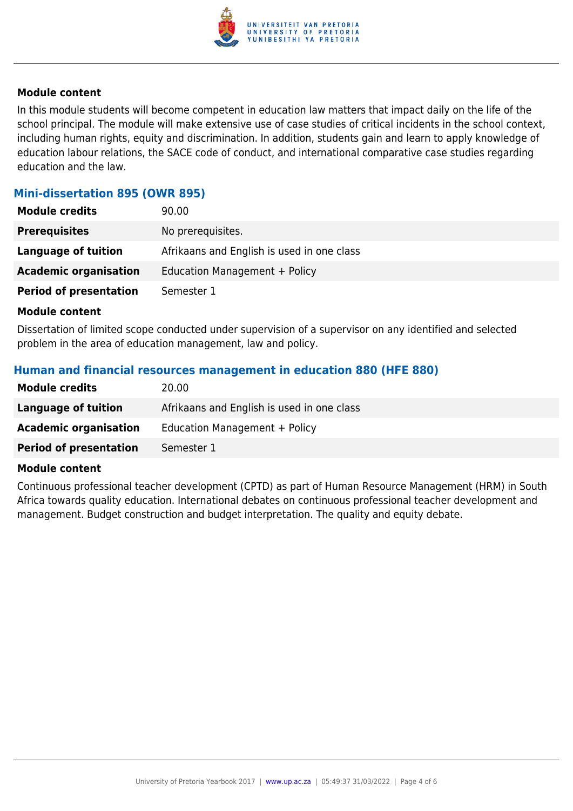

#### **Module content**

In this module students will become competent in education law matters that impact daily on the life of the school principal. The module will make extensive use of case studies of critical incidents in the school context, including human rights, equity and discrimination. In addition, students gain and learn to apply knowledge of education labour relations, the SACE code of conduct, and international comparative case studies regarding education and the law.

#### **Mini-dissertation 895 (OWR 895)**

| <b>Module credits</b>         | 90.00                                      |
|-------------------------------|--------------------------------------------|
| <b>Prerequisites</b>          | No prerequisites.                          |
| Language of tuition           | Afrikaans and English is used in one class |
| <b>Academic organisation</b>  | Education Management + Policy              |
| <b>Period of presentation</b> | Semester 1                                 |

#### **Module content**

Dissertation of limited scope conducted under supervision of a supervisor on any identified and selected problem in the area of education management, law and policy.

#### **Human and financial resources management in education 880 (HFE 880)**

| 20.00                                      |
|--------------------------------------------|
| Afrikaans and English is used in one class |
| Education Management + Policy              |
| Semester 1                                 |
|                                            |

#### **Module content**

Continuous professional teacher development (CPTD) as part of Human Resource Management (HRM) in South Africa towards quality education. International debates on continuous professional teacher development and management. Budget construction and budget interpretation. The quality and equity debate.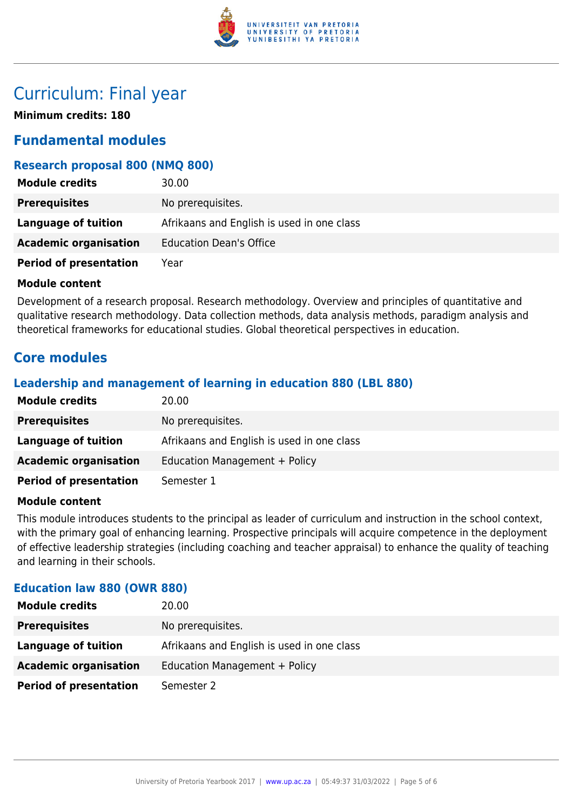

### Curriculum: Final year

**Minimum credits: 180**

### **Fundamental modules**

#### **Research proposal 800 (NMQ 800)**

| <b>Module credits</b>         | 30.00                                      |
|-------------------------------|--------------------------------------------|
| <b>Prerequisites</b>          | No prerequisites.                          |
| Language of tuition           | Afrikaans and English is used in one class |
| <b>Academic organisation</b>  | <b>Education Dean's Office</b>             |
| <b>Period of presentation</b> | Year                                       |

#### **Module content**

Development of a research proposal. Research methodology. Overview and principles of quantitative and qualitative research methodology. Data collection methods, data analysis methods, paradigm analysis and theoretical frameworks for educational studies. Global theoretical perspectives in education.

### **Core modules**

#### **Leadership and management of learning in education 880 (LBL 880)**

| <b>Module credits</b>         | 20.00                                      |
|-------------------------------|--------------------------------------------|
| <b>Prerequisites</b>          | No prerequisites.                          |
| <b>Language of tuition</b>    | Afrikaans and English is used in one class |
| <b>Academic organisation</b>  | Education Management + Policy              |
| <b>Period of presentation</b> | Semester 1                                 |

#### **Module content**

This module introduces students to the principal as leader of curriculum and instruction in the school context, with the primary goal of enhancing learning. Prospective principals will acquire competence in the deployment of effective leadership strategies (including coaching and teacher appraisal) to enhance the quality of teaching and learning in their schools.

#### **Education law 880 (OWR 880)**

| 20.00                                      |
|--------------------------------------------|
| No prerequisites.                          |
| Afrikaans and English is used in one class |
| Education Management + Policy              |
| Semester 2                                 |
|                                            |